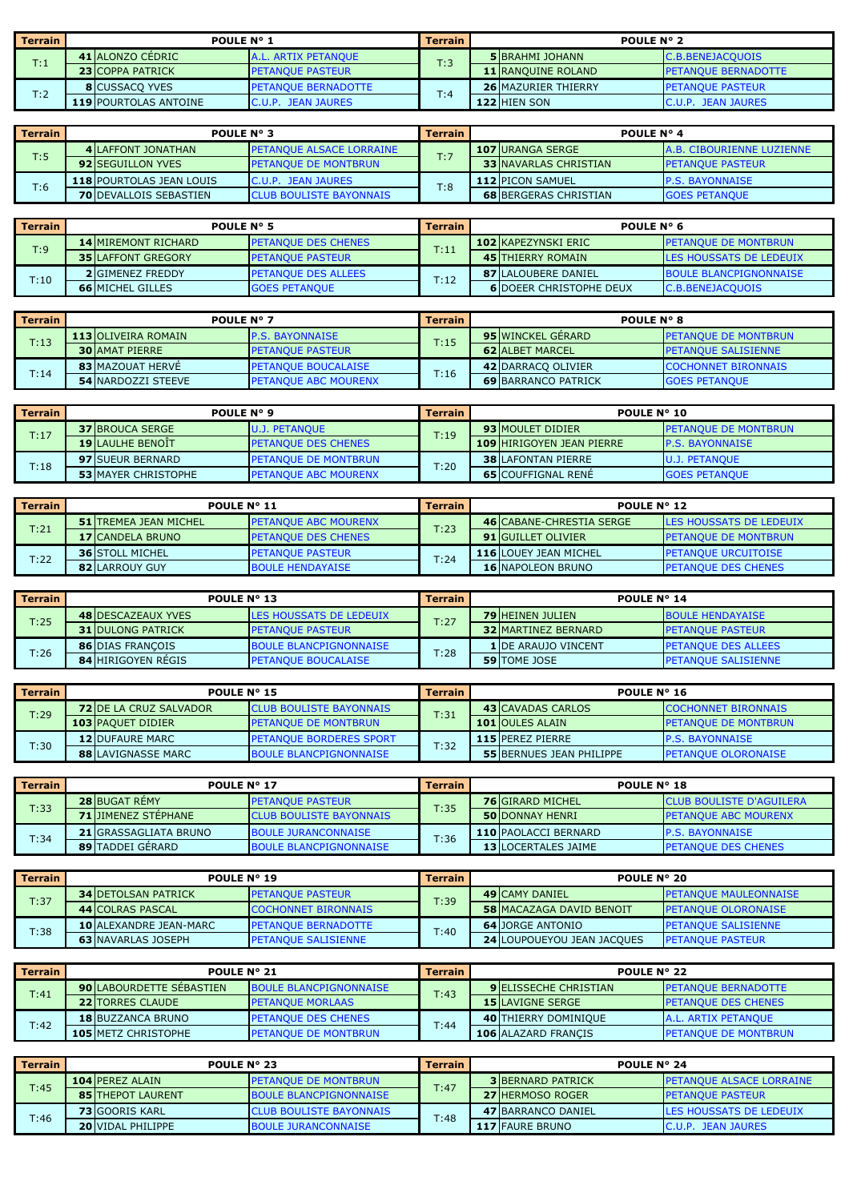| <b>Terrain</b> | POULE N° 1                   |                            | <b>Terrain</b> | POULE N° 2 |                            |                            |
|----------------|------------------------------|----------------------------|----------------|------------|----------------------------|----------------------------|
| T:1            | 41 ALONZO CEDRIC             | <b>A.L. ARTIX PETANOUE</b> | T:3            |            | <b>5</b> BRAHMI JOHANN     | <b>C.B.BENEJACOUOIS</b>    |
|                | <b>23 COPPA PATRICK</b>      | <b>PETANOUE PASTEUR</b>    |                |            | <b>11 RANQUINE ROLAND</b>  | <b>PETANOUE BERNADOTTE</b> |
| T:2            | <b>8</b> CUSSACO YVES        | <b>PETANOUE BERNADOTTE</b> |                |            | <b>26 MAZURIER THIERRY</b> | <b>IPETANOUE PASTEUR</b>   |
|                | <b>119 POURTOLAS ANTOINE</b> | C.U.P. JEAN JAURES         | T:4            |            | 122 HIEN SON               | <b>C.U.P. JEAN JAURES</b>  |

| <b>Terrain</b> | <b>POULE N° 3</b>               |                                  | <b>Terrain</b> | POULE N° 4 |                               |                                  |
|----------------|---------------------------------|----------------------------------|----------------|------------|-------------------------------|----------------------------------|
|                | <b>4 ILAFFONT JONATHAN</b>      | <b>IPETANOUE ALSACE LORRAINE</b> | T:7            |            | 107 URANGA SERGE              | <b>A.B. CIBOURIENNE LUZIENNE</b> |
| T:5            | <b>92 SEGUILLON YVES</b>        | <b>PETANOUE DE MONTBRUN</b>      |                |            | <b>33 INAVARLAS CHRISTIAN</b> | <b>PETANQUE PASTEUR</b>          |
| T:6            | <b>118 POURTOLAS JEAN LOUIS</b> | C.U.P. JEAN JAURES               | T:8            |            | <b>112 PICON SAMUEL</b>       | <b>P.S. BAYONNAISE</b>           |
|                | <b>70 DEVALLOIS SEBASTIEN</b>   | <b>CLUB BOULISTE BAYONNAIS</b>   |                |            | <b>68 BERGERAS CHRISTIAN</b>  | <b>GOES PETANOUE</b>             |

| <b>Terrain</b> | POULE N° 5                                      |                            | <b>Terrain</b> | POULE N° 6                     |                                |  |
|----------------|-------------------------------------------------|----------------------------|----------------|--------------------------------|--------------------------------|--|
|                | <b>14 MIREMONT RICHARD</b>                      | <b>PETANOUE DES CHENES</b> | T:11           | <b>102 KAPEZYNSKI ERIC</b>     | <b>PETANQUE DE MONTBRUN</b>    |  |
| T:9            | <b>35 LAFFONT GREGORY</b>                       | <b>PETANQUE PASTEUR</b>    |                | 45 ITHIERRY ROMAIN             | <b>LES HOUSSATS DE LEDEUIX</b> |  |
| T:10           | <b>2</b> GIMENEZ FREDDY                         | <b>PETANOUE DES ALLEES</b> |                | <b>87 LALOUBERE DANIEL</b>     | <b>BOULE BLANCPIGNONNAISE</b>  |  |
|                | <b>66 MICHEL GILLES</b><br><b>GOES PETANQUE</b> |                            | T:12           | <b>6 DOEER CHRISTOPHE DEUX</b> | C.B.BENEJACQUOIS               |  |

| <b>Terrain</b> | <b>POULE N° 7</b>          |                             | <b>Terrain</b> | <b>POULE N° 8</b>          |                             |  |
|----------------|----------------------------|-----------------------------|----------------|----------------------------|-----------------------------|--|
| T:13           | <b>113 OLIVEIRA ROMAIN</b> | <b>IP.S. BAYONNAISE</b>     | T:15           | <b>95 WINCKEL GERARD</b>   | <b>PETANOUE DE MONTBRUN</b> |  |
|                | <b>30 AMAT PIERRE</b>      | <b>IPETANOUE PASTEUR</b>    |                | <b>62 ALBET MARCEL</b>     | <b>PETANOUE SALISIENNE</b>  |  |
| T:14           | 83 MAZOUAT HERVE           | <b>PETANOUE BOUCALAISE</b>  | T:16           | 42 DARRACO OLIVIER         | <b>COCHONNET BIRONNAIS</b>  |  |
|                | <b>54 INARDOZZI STEEVE</b> | <b>PETANOUE ABC MOURENX</b> |                | <b>69 BARRANCO PATRICK</b> | <b>GOES PETANOUE</b>        |  |

| <b>Terrain</b> | POULE N° 9                 |                             | <b>Terrain</b> | POULE N° 10                      |  |                             |
|----------------|----------------------------|-----------------------------|----------------|----------------------------------|--|-----------------------------|
| T:17           | <b>37 BROUCA SERGE</b>     | <b>U.J. PETANOUE</b>        | T:19           | <b>93 MOULET DIDIER</b>          |  | <b>PETANOUE DE MONTBRUN</b> |
|                | <b>19 LAULHE BENOIT</b>    | <b>PETANOUE DES CHENES</b>  |                | <b>109 HIRIGOYEN JEAN PIERRE</b> |  | <b>P.S. BAYONNAISE</b>      |
| T:18           | <b>97 SUEUR BERNARD</b>    | <b>PETANOUE DE MONTBRUN</b> |                | <b>38 LAFONTAN PIERRE</b>        |  | <b>U.J. PETANOUE</b>        |
|                | <b>53 MAYER CHRISTOPHE</b> | <b>PETANOUE ABC MOURENX</b> | T:20           | <b>65 COUFFIGNAL RENE</b>        |  | <b>GOES PETANOUE</b>        |

| l Terrain | POULE N° 11                  |                              | <b>Terrain</b> | POULE N° 12                     |                                |  |
|-----------|------------------------------|------------------------------|----------------|---------------------------------|--------------------------------|--|
| T:21      | <b>51 TREMEA JEAN MICHEL</b> | <b>IPETANOUE ABC MOURENX</b> | T:23           | <b>46 CABANE-CHRESTIA SERGE</b> | <b>LES HOUSSATS DE LEDEUIX</b> |  |
|           | <b>17 CANDELA BRUNO</b>      | <b>PETANOUE DES CHENES</b>   |                | <b>91 GUILLET OLIVIER</b>       | <b>PETANOUE DE MONTBRUN</b>    |  |
| T:22      | <b>36 STOLL MICHEL</b>       | <b>IPETANOUE PASTEUR</b>     |                | <b>116 LOUEY JEAN MICHEL</b>    | <b>I PETANOUE URCUITOISE</b>   |  |
|           | <b>82 LARROUY GUY</b>        | <b>BOULE HENDAYAISE</b>      | T:24           | <b>16 NAPOLEON BRUNO</b>        | <b>PETANQUE DES CHENES</b>     |  |

| Terrain | POULE N° 13               |                               | <b>Terrain</b> | POULE N° 14 |                             |                            |
|---------|---------------------------|-------------------------------|----------------|-------------|-----------------------------|----------------------------|
| T:25    | <b>48 DESCAZEAUX YVES</b> | LES HOUSSATS DE LEDEUIX       | T:27           |             | <b>79 HEINEN JULIEN</b>     | <b>BOULE HENDAYAISE</b>    |
|         | <b>31 DULONG PATRICK</b>  | <b>PETANOUE PASTEUR</b>       |                |             | <b>32 MARTINEZ BERNARD</b>  | <b>PETANOUE PASTEUR</b>    |
| T:26    | <b>86 DIAS FRANCOIS</b>   | <b>BOULE BLANCPIGNONNAISE</b> | T:28           |             | <b>1 IDE ARAUJO VINCENT</b> | <b>PETANOUE DES ALLEES</b> |
|         | <b>84 HIRIGOYEN REGIS</b> | <b>IPETANOUE BOUCALAISE</b>   |                |             | <b>59 TOME JOSE</b>         | <b>PETANOUE SALISIENNE</b> |

| l Terrain | POULE N° 15                   |                                | <b>Terrain</b> | POULE N° 16 |                                 |                             |
|-----------|-------------------------------|--------------------------------|----------------|-------------|---------------------------------|-----------------------------|
| T:29      | <b>72 DE LA CRUZ SALVADOR</b> | <b>CLUB BOULISTE BAYONNAIS</b> | T:31           |             | <b>43 CAVADAS CARLOS</b>        | <b>COCHONNET BIRONNAIS</b>  |
|           | <b>103 PAOUET DIDIER</b>      | <b>PETANOUE DE MONTBRUN</b>    |                |             | <b>101 OULES ALAIN</b>          | <b>PETANOUE DE MONTBRUN</b> |
| T:30      | <b>12 DUFAURE MARC</b>        | <b>PETANOUE BORDERES SPORT</b> |                |             | 115 PEREZ PIERRE                | <b>P.S. BAYONNAISE</b>      |
|           | <b>88 LAVIGNASSE MARC</b>     | <b>BOULE BLANCPIGNONNAISE</b>  | T:32           |             | <b>55 BERNUES JEAN PHILIPPE</b> | <b>PETANOUE OLORONAISE</b>  |

| <b>Terrain</b> | POULE N° 17                  |                                | <b>Terrain</b> | POULE N° 18                |                                 |  |
|----------------|------------------------------|--------------------------------|----------------|----------------------------|---------------------------------|--|
| T:33           | <b>28 BUGAT REMY</b>         | <b>IPETANOUE PASTEUR</b>       | T:35           | <b>76 GIRARD MICHEL</b>    | <b>CLUB BOULISTE D'AGUILERA</b> |  |
|                | <b>71 JIMENEZ STEPHANE</b>   | <b>CLUB BOULISTE BAYONNAIS</b> |                | <b>50 DONNAY HENRI</b>     | <b>PETANQUE ABC MOURENX</b>     |  |
| T:34           | <b>21 GRASSAGLIATA BRUNO</b> | BOULE JURANCONNAISE            | T:36           | 110 PAOLACCI BERNARD       | <b>P.S. BAYONNAISE</b>          |  |
|                | <b>89 TADDEI GERARD</b>      | <b>BOULE BLANCPIGNONNAISE</b>  |                | <b>13 LOCERTALES JAIME</b> | <b>PETANQUE DES CHENES</b>      |  |

| l Terrain | POULE N° 19                   |                             | <b>Terrain</b> | POULE N° 20 |                                   |                              |
|-----------|-------------------------------|-----------------------------|----------------|-------------|-----------------------------------|------------------------------|
| T:37      | <b>34 DETOLSAN PATRICK</b>    | <b>IPETANOUE PASTEUR</b>    | T:39           |             | <b>49 ICAMY DANIEL</b>            | <b>PETANOUE MAULEONNAISE</b> |
|           | <b>44 COLRAS PASCAL</b>       | <b>COCHONNET BIRONNAIS</b>  |                |             | <b>58 MACAZAGA DAVID BENOIT</b>   | <b>PETANOUE OLORONAISE</b>   |
| T:38      | <b>10 ALEXANDRE JEAN-MARC</b> | <b>IPETANOUE BERNADOTTE</b> | T:40           |             | <b>64 JORGE ANTONIO</b>           | <b>IPETANOUE SALISIENNE</b>  |
|           | <b>63 NAVARLAS JOSEPH</b>     | <b>PETANQUE SALISIENNE</b>  |                |             | <b>24 LOUPOUEYOU JEAN JACQUES</b> | <b>PETANQUE PASTEUR</b>      |

| <b>Terrain</b> | POULE N° 21                     |                                       | <b>Terrain</b> | POULE N° 22                  |                              |  |
|----------------|---------------------------------|---------------------------------------|----------------|------------------------------|------------------------------|--|
| T:41           | <b>90 LABOURDETTE SEBASTIEN</b> | <b>BOULE BLANCPIGNONNAISE</b><br>T:43 |                | <b>9 ELISSECHE CHRISTIAN</b> | <b>IPETANOUE BERNADOTTE</b>  |  |
|                | <b>22 TORRES CLAUDE</b>         | <b>PETANQUE MORLAAS</b>               |                | <b>15 LAVIGNE SERGE</b>      | <b>IPETANOUE DES CHENES</b>  |  |
| T:42           | <b>18 BUZZANCA BRUNO</b>        | <b>PETANOUE DES CHENES</b>            | T:44           | 40 THIERRY DOMINIQUE         | A.L. ARTIX PETANOUE          |  |
|                | <b>105 METZ CHRISTOPHE</b>      | <b>IPETANOUE DE MONTBRUN</b>          |                | 106 ALAZARD FRANCIS          | <b>IPETANOUE DE MONTBRUN</b> |  |

| <b>Terrain</b> | POULE N° 23 |                          | <b>Terrain</b>                 | POULE N° 24 |  |                          |                                  |
|----------------|-------------|--------------------------|--------------------------------|-------------|--|--------------------------|----------------------------------|
| T:45           |             | 104 PEREZ ALAIN          | <b>PETANOUE DE MONTBRUN</b>    | T:47        |  | <b>3 BERNARD PATRICK</b> | <b>IPETANOUE ALSACE LORRAINE</b> |
|                |             | <b>85 THEPOT LAURENT</b> | <b>BOULE BLANCPIGNONNAISE</b>  |             |  | <b>27 HERMOSO ROGER</b>  | <b>PETANQUE PASTEUR</b>          |
|                |             | <b>73 GOORIS KARL</b>    | <b>CLUB BOULISTE BAYONNAIS</b> | T:48        |  | 47 BARRANCO DANIEL       | LES HOUSSATS DE LEDEUIX          |
| T:46           |             | <b>20 VIDAL PHILIPPE</b> | <b>BOULE JURANCONNAISE</b>     |             |  | <b>117 FAURE BRUNO</b>   | C.U.P. JEAN JAURES               |